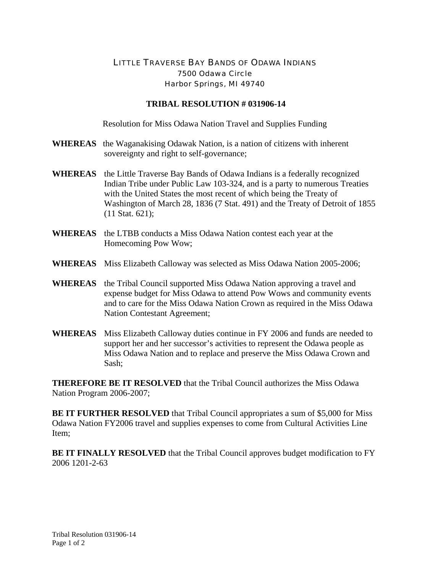## LITTLE TRAVERSE BAY BANDS OF ODAWA INDIANS 7500 Odawa Circle Harbor Springs, MI 49740

## **TRIBAL RESOLUTION # 031906-14**

Resolution for Miss Odawa Nation Travel and Supplies Funding

- **WHEREAS** the Waganakising Odawak Nation, is a nation of citizens with inherent sovereignty and right to self-governance;
- **WHEREAS** the Little Traverse Bay Bands of Odawa Indians is a federally recognized Indian Tribe under Public Law 103-324, and is a party to numerous Treaties with the United States the most recent of which being the Treaty of Washington of March 28, 1836 (7 Stat. 491) and the Treaty of Detroit of 1855 (11 Stat. 621);
- **WHEREAS** the LTBB conducts a Miss Odawa Nation contest each year at the Homecoming Pow Wow;
- **WHEREAS** Miss Elizabeth Calloway was selected as Miss Odawa Nation 2005-2006;
- **WHEREAS** the Tribal Council supported Miss Odawa Nation approving a travel and expense budget for Miss Odawa to attend Pow Wows and community events and to care for the Miss Odawa Nation Crown as required in the Miss Odawa Nation Contestant Agreement;
- **WHEREAS** Miss Elizabeth Calloway duties continue in FY 2006 and funds are needed to support her and her successor's activities to represent the Odawa people as Miss Odawa Nation and to replace and preserve the Miss Odawa Crown and Sash;

**THEREFORE BE IT RESOLVED** that the Tribal Council authorizes the Miss Odawa Nation Program 2006-2007;

**BE IT FURTHER RESOLVED** that Tribal Council appropriates a sum of \$5,000 for Miss Odawa Nation FY2006 travel and supplies expenses to come from Cultural Activities Line Item;

**BE IT FINALLY RESOLVED** that the Tribal Council approves budget modification to FY 2006 1201-2-63